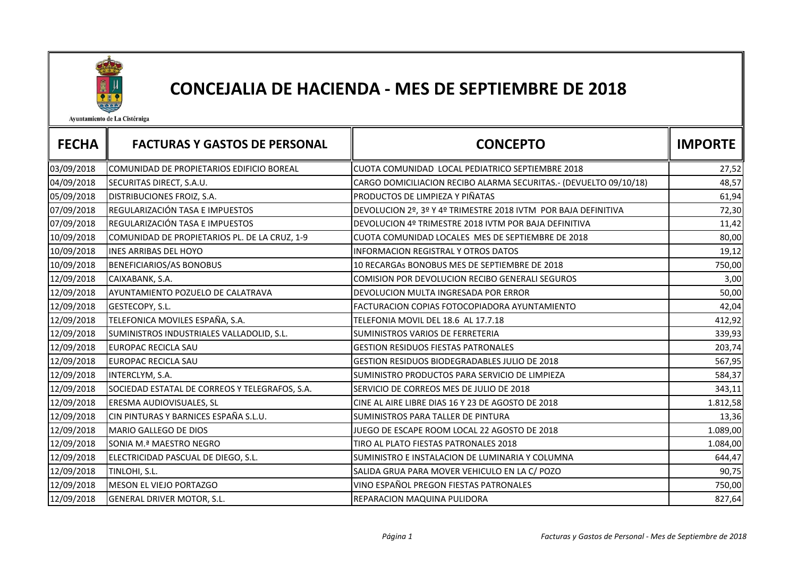

## CONCEJALIA DE HACIENDA - MES DE SEPTIEMBRE DE 2018

Ayuntamiento de La Cistérniga

| <b>FECHA</b> | <b>FACTURAS Y GASTOS DE PERSONAL</b>           | <b>CONCEPTO</b>                                                   | <b>IMPORTE</b> |
|--------------|------------------------------------------------|-------------------------------------------------------------------|----------------|
| 03/09/2018   | COMUNIDAD DE PROPIETARIOS EDIFICIO BOREAL      | CUOTA COMUNIDAD LOCAL PEDIATRICO SEPTIEMBRE 2018                  | 27,52          |
| 04/09/2018   | SECURITAS DIRECT, S.A.U.                       | CARGO DOMICILIACION RECIBO ALARMA SECURITAS.- (DEVUELTO 09/10/18) | 48,57          |
| 05/09/2018   | DISTRIBUCIONES FROIZ, S.A.                     | PRODUCTOS DE LIMPIEZA Y PIÑATAS                                   | 61,94          |
| 07/09/2018   | REGULARIZACIÓN TASA E IMPUESTOS                | DEVOLUCION 2º, 3º Y 4º TRIMESTRE 2018 IVTM POR BAJA DEFINITIVA    | 72,30          |
| 07/09/2018   | REGULARIZACIÓN TASA E IMPUESTOS                | DEVOLUCION 4º TRIMESTRE 2018 IVTM POR BAJA DEFINITIVA             | 11,42          |
| 10/09/2018   | COMUNIDAD DE PROPIETARIOS PL. DE LA CRUZ, 1-9  | CUOTA COMUNIDAD LOCALES MES DE SEPTIEMBRE DE 2018                 | 80,00          |
| 10/09/2018   | <b>INES ARRIBAS DEL HOYO</b>                   | <b>INFORMACION REGISTRAL Y OTROS DATOS</b>                        | 19,12          |
| 10/09/2018   | <b>BENEFICIARIOS/AS BONOBUS</b>                | 10 RECARGAS BONOBUS MES DE SEPTIEMBRE DE 2018                     | 750,00         |
| 12/09/2018   | CAIXABANK, S.A.                                | COMISION POR DEVOLUCION RECIBO GENERALI SEGUROS                   | 3,00           |
| 12/09/2018   | AYUNTAMIENTO POZUELO DE CALATRAVA              | DEVOLUCION MULTA INGRESADA POR ERROR                              | 50,00          |
| 12/09/2018   | GESTECOPY, S.L.                                | FACTURACION COPIAS FOTOCOPIADORA AYUNTAMIENTO                     | 42,04          |
| 12/09/2018   | TELEFONICA MOVILES ESPAÑA, S.A.                | TELEFONIA MOVIL DEL 18.6 AL 17.7.18                               | 412,92         |
| 12/09/2018   | SUMINISTROS INDUSTRIALES VALLADOLID, S.L.      | SUMINISTROS VARIOS DE FERRETERIA                                  | 339,93         |
| 12/09/2018   | <b>EUROPAC RECICLA SAU</b>                     | <b>GESTION RESIDUOS FIESTAS PATRONALES</b>                        | 203,74         |
| 12/09/2018   | <b>EUROPAC RECICLA SAU</b>                     | GESTION RESIDUOS BIODEGRADABLES JULIO DE 2018                     | 567,95         |
| 12/09/2018   | INTERCLYM, S.A.                                | SUMINISTRO PRODUCTOS PARA SERVICIO DE LIMPIEZA                    | 584,37         |
| 12/09/2018   | SOCIEDAD ESTATAL DE CORREOS Y TELEGRAFOS, S.A. | SERVICIO DE CORREOS MES DE JULIO DE 2018                          | 343,11         |
| 12/09/2018   | ERESMA AUDIOVISUALES, SL                       | CINE AL AIRE LIBRE DIAS 16 Y 23 DE AGOSTO DE 2018                 | 1.812,58       |
| 12/09/2018   | CIN PINTURAS Y BARNICES ESPAÑA S.L.U.          | SUMINISTROS PARA TALLER DE PINTURA                                | 13,36          |
| 12/09/2018   | MARIO GALLEGO DE DIOS                          | JUEGO DE ESCAPE ROOM LOCAL 22 AGOSTO DE 2018                      | 1.089,00       |
| 12/09/2018   | SONIA M.ª MAESTRO NEGRO                        | TIRO AL PLATO FIESTAS PATRONALES 2018                             | 1.084,00       |
| 12/09/2018   | ELECTRICIDAD PASCUAL DE DIEGO, S.L.            | SUMINISTRO E INSTALACION DE LUMINARIA Y COLUMNA                   | 644,47         |
| 12/09/2018   | TINLOHI, S.L.                                  | SALIDA GRUA PARA MOVER VEHICULO EN LA C/ POZO                     | 90,75          |
| 12/09/2018   | MESON EL VIEJO PORTAZGO                        | VINO ESPAÑOL PREGON FIESTAS PATRONALES                            | 750,00         |
| 12/09/2018   | GENERAL DRIVER MOTOR, S.L.                     | REPARACION MAQUINA PULIDORA                                       | 827,64         |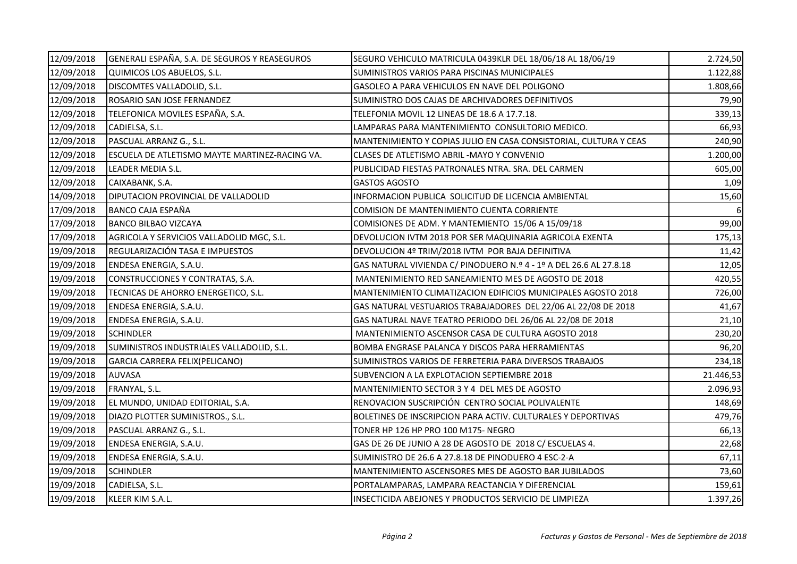| 12/09/2018 | GENERALI ESPAÑA, S.A. DE SEGUROS Y REASEGUROS  | SEGURO VEHICULO MATRICULA 0439KLR DEL 18/06/18 AL 18/06/19         | 2.724,50  |
|------------|------------------------------------------------|--------------------------------------------------------------------|-----------|
| 12/09/2018 | QUIMICOS LOS ABUELOS, S.L.                     | SUMINISTROS VARIOS PARA PISCINAS MUNICIPALES                       | 1.122,88  |
| 12/09/2018 | DISCOMTES VALLADOLID, S.L.                     | GASOLEO A PARA VEHICULOS EN NAVE DEL POLIGONO                      | 1.808,66  |
| 12/09/2018 | ROSARIO SAN JOSE FERNANDEZ                     | SUMINISTRO DOS CAJAS DE ARCHIVADORES DEFINITIVOS                   | 79,90     |
| 12/09/2018 | TELEFONICA MOVILES ESPAÑA, S.A.                | TELEFONIA MOVIL 12 LINEAS DE 18.6 A 17.7.18.                       | 339,13    |
| 12/09/2018 | CADIELSA, S.L.                                 | LAMPARAS PARA MANTENIMIENTO CONSULTORIO MEDICO.                    | 66,93     |
| 12/09/2018 | PASCUAL ARRANZ G., S.L.                        | MANTENIMIENTO Y COPIAS JULIO EN CASA CONSISTORIAL, CULTURA Y CEAS  | 240,90    |
| 12/09/2018 | ESCUELA DE ATLETISMO MAYTE MARTINEZ-RACING VA. | CLASES DE ATLETISMO ABRIL - MAYO Y CONVENIO                        | 1.200,00  |
| 12/09/2018 | LEADER MEDIA S.L.                              | PUBLICIDAD FIESTAS PATRONALES NTRA. SRA. DEL CARMEN                | 605,00    |
| 12/09/2018 | CAIXABANK, S.A.                                | <b>GASTOS AGOSTO</b>                                               | 1,09      |
| 14/09/2018 | DIPUTACION PROVINCIAL DE VALLADOLID            | INFORMACION PUBLICA SOLICITUD DE LICENCIA AMBIENTAL                | 15,60     |
| 17/09/2018 | BANCO CAJA ESPAÑA                              | COMISION DE MANTENIMIENTO CUENTA CORRIENTE                         |           |
| 17/09/2018 | <b>BANCO BILBAO VIZCAYA</b>                    | COMISIONES DE ADM. Y MANTEMIENTO 15/06 A 15/09/18                  | 99,00     |
| 17/09/2018 | AGRICOLA Y SERVICIOS VALLADOLID MGC, S.L.      | DEVOLUCION IVTM 2018 POR SER MAQUINARIA AGRICOLA EXENTA            | 175,13    |
| 19/09/2018 | REGULARIZACIÓN TASA E IMPUESTOS                | DEVOLUCION 4º TRIM/2018 IVTM POR BAJA DEFINITIVA                   | 11,42     |
| 19/09/2018 | ENDESA ENERGIA, S.A.U.                         | GAS NATURAL VIVIENDA C/ PINODUERO N.º 4 - 1º A DEL 26.6 AL 27.8.18 | 12,05     |
| 19/09/2018 | CONSTRUCCIONES Y CONTRATAS, S.A.               | MANTENIMIENTO RED SANEAMIENTO MES DE AGOSTO DE 2018                | 420,55    |
| 19/09/2018 | TECNICAS DE AHORRO ENERGETICO, S.L.            | MANTENIMIENTO CLIMATIZACION EDIFICIOS MUNICIPALES AGOSTO 2018      | 726,00    |
| 19/09/2018 | ENDESA ENERGIA, S.A.U.                         | GAS NATURAL VESTUARIOS TRABAJADORES DEL 22/06 AL 22/08 DE 2018     | 41,67     |
| 19/09/2018 | ENDESA ENERGIA, S.A.U.                         | GAS NATURAL NAVE TEATRO PERIODO DEL 26/06 AL 22/08 DE 2018         | 21,10     |
| 19/09/2018 | <b>SCHINDLER</b>                               | MANTENIMIENTO ASCENSOR CASA DE CULTURA AGOSTO 2018                 | 230,20    |
| 19/09/2018 | SUMINISTROS INDUSTRIALES VALLADOLID, S.L.      | BOMBA ENGRASE PALANCA Y DISCOS PARA HERRAMIENTAS                   | 96,20     |
| 19/09/2018 | GARCIA CARRERA FELIX(PELICANO)                 | SUMINISTROS VARIOS DE FERRETERIA PARA DIVERSOS TRABAJOS            | 234,18    |
| 19/09/2018 | <b>AUVASA</b>                                  | SUBVENCION A LA EXPLOTACION SEPTIEMBRE 2018                        | 21.446,53 |
| 19/09/2018 | FRANYAL, S.L.                                  | MANTENIMIENTO SECTOR 3 Y 4 DEL MES DE AGOSTO                       | 2.096,93  |
| 19/09/2018 | EL MUNDO, UNIDAD EDITORIAL, S.A.               | RENOVACION SUSCRIPCIÓN CENTRO SOCIAL POLIVALENTE                   | 148,69    |
| 19/09/2018 | DIAZO PLOTTER SUMINISTROS., S.L.               | BOLETINES DE INSCRIPCION PARA ACTIV. CULTURALES Y DEPORTIVAS       | 479,76    |
| 19/09/2018 | PASCUAL ARRANZ G., S.L.                        | TONER HP 126 HP PRO 100 M175-NEGRO                                 | 66,13     |
| 19/09/2018 | ENDESA ENERGIA, S.A.U.                         | GAS DE 26 DE JUNIO A 28 DE AGOSTO DE 2018 C/ ESCUELAS 4.           | 22,68     |
| 19/09/2018 | ENDESA ENERGIA, S.A.U.                         | SUMINISTRO DE 26.6 A 27.8.18 DE PINODUERO 4 ESC-2-A                | 67,11     |
| 19/09/2018 | <b>SCHINDLER</b>                               | MANTENIMIENTO ASCENSORES MES DE AGOSTO BAR JUBILADOS               | 73,60     |
| 19/09/2018 | CADIELSA, S.L.                                 | PORTALAMPARAS, LAMPARA REACTANCIA Y DIFERENCIAL                    | 159,61    |
| 19/09/2018 | KLEER KIM S.A.L.                               | INSECTICIDA ABEJONES Y PRODUCTOS SERVICIO DE LIMPIEZA              | 1.397,26  |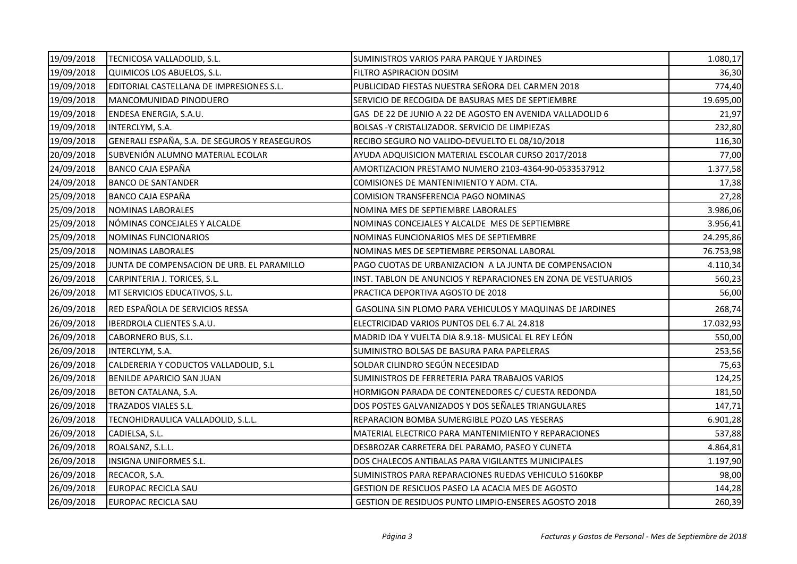| 19/09/2018 | TECNICOSA VALLADOLID, S.L.                    | SUMINISTROS VARIOS PARA PARQUE Y JARDINES                     | 1.080,17  |
|------------|-----------------------------------------------|---------------------------------------------------------------|-----------|
| 19/09/2018 | QUIMICOS LOS ABUELOS, S.L.                    | FILTRO ASPIRACION DOSIM                                       | 36,30     |
| 19/09/2018 | EDITORIAL CASTELLANA DE IMPRESIONES S.L.      | PUBLICIDAD FIESTAS NUESTRA SEÑORA DEL CARMEN 2018             | 774,40    |
| 19/09/2018 | MANCOMUNIDAD PINODUERO                        | SERVICIO DE RECOGIDA DE BASURAS MES DE SEPTIEMBRE             | 19.695,00 |
| 19/09/2018 | ENDESA ENERGIA, S.A.U.                        | GAS DE 22 DE JUNIO A 22 DE AGOSTO EN AVENIDA VALLADOLID 6     | 21,97     |
| 19/09/2018 | INTERCLYM, S.A.                               | BOLSAS - Y CRISTALIZADOR. SERVICIO DE LIMPIEZAS               | 232,80    |
| 19/09/2018 | GENERALI ESPAÑA, S.A. DE SEGUROS Y REASEGUROS | RECIBO SEGURO NO VALIDO-DEVUELTO EL 08/10/2018                | 116,30    |
| 20/09/2018 | SUBVENIÓN ALUMNO MATERIAL ECOLAR              | AYUDA ADQUISICION MATERIAL ESCOLAR CURSO 2017/2018            | 77,00     |
| 24/09/2018 | BANCO CAJA ESPAÑA                             | AMORTIZACION PRESTAMO NUMERO 2103-4364-90-0533537912          | 1.377,58  |
| 24/09/2018 | <b>BANCO DE SANTANDER</b>                     | COMISIONES DE MANTENIMIENTO Y ADM. CTA.                       | 17,38     |
| 25/09/2018 | <b>BANCO CAJA ESPAÑA</b>                      | COMISION TRANSFERENCIA PAGO NOMINAS                           | 27,28     |
| 25/09/2018 | NOMINAS LABORALES                             | NOMINA MES DE SEPTIEMBRE LABORALES                            | 3.986,06  |
| 25/09/2018 | NÓMINAS CONCEJALES Y ALCALDE                  | NOMINAS CONCEJALES Y ALCALDE MES DE SEPTIEMBRE                | 3.956,41  |
| 25/09/2018 | NOMINAS FUNCIONARIOS                          | NOMINAS FUNCIONARIOS MES DE SEPTIEMBRE                        | 24.295,86 |
| 25/09/2018 | <b>NOMINAS LABORALES</b>                      | NOMINAS MES DE SEPTIEMBRE PERSONAL LABORAL                    | 76.753,98 |
| 25/09/2018 | JUNTA DE COMPENSACION DE URB. EL PARAMILLO    | PAGO CUOTAS DE URBANIZACION A LA JUNTA DE COMPENSACION        | 4.110,34  |
| 26/09/2018 | CARPINTERIA J. TORICES, S.L.                  | INST. TABLON DE ANUNCIOS Y REPARACIONES EN ZONA DE VESTUARIOS | 560,23    |
| 26/09/2018 | MT SERVICIOS EDUCATIVOS, S.L.                 | PRACTICA DEPORTIVA AGOSTO DE 2018                             | 56,00     |
| 26/09/2018 | RED ESPAÑOLA DE SERVICIOS RESSA               | GASOLINA SIN PLOMO PARA VEHICULOS Y MAQUINAS DE JARDINES      | 268,74    |
| 26/09/2018 | IBERDROLA CLIENTES S.A.U.                     | ELECTRICIDAD VARIOS PUNTOS DEL 6.7 AL 24.818                  | 17.032,93 |
| 26/09/2018 | CABORNERO BUS, S.L.                           | MADRID IDA Y VUELTA DIA 8.9.18- MUSICAL EL REY LEÓN           | 550,00    |
| 26/09/2018 | INTERCLYM, S.A.                               | SUMINISTRO BOLSAS DE BASURA PARA PAPELERAS                    | 253,56    |
| 26/09/2018 | CALDERERIA Y CODUCTOS VALLADOLID, S.L         | SOLDAR CILINDRO SEGÚN NECESIDAD                               | 75,63     |
| 26/09/2018 | BENILDE APARICIO SAN JUAN                     | SUMINISTROS DE FERRETERIA PARA TRABAJOS VARIOS                | 124,25    |
| 26/09/2018 | BETON CATALANA, S.A.                          | HORMIGON PARADA DE CONTENEDORES C/ CUESTA REDONDA             | 181,50    |
| 26/09/2018 | TRAZADOS VIALES S.L.                          | DOS POSTES GALVANIZADOS Y DOS SEÑALES TRIANGULARES            | 147,71    |
| 26/09/2018 | TECNOHIDRAULICA VALLADOLID, S.L.L.            | REPARACION BOMBA SUMERGIBLE POZO LAS YESERAS                  | 6.901,28  |
| 26/09/2018 | CADIELSA, S.L.                                | MATERIAL ELECTRICO PARA MANTENIMIENTO Y REPARACIONES          | 537,88    |
| 26/09/2018 | ROALSANZ, S.L.L.                              | DESBROZAR CARRETERA DEL PARAMO, PASEO Y CUNETA                | 4.864,81  |
| 26/09/2018 | INSIGNA UNIFORMES S.L.                        | DOS CHALECOS ANTIBALAS PARA VIGILANTES MUNICIPALES            | 1.197,90  |
| 26/09/2018 | RECACOR, S.A.                                 | SUMINISTROS PARA REPARACIONES RUEDAS VEHICULO 5160KBP         | 98,00     |
| 26/09/2018 | EUROPAC RECICLA SAU                           | GESTION DE RESICUOS PASEO LA ACACIA MES DE AGOSTO             | 144,28    |
| 26/09/2018 | <b>EUROPAC RECICLA SAU</b>                    | GESTION DE RESIDUOS PUNTO LIMPIO-ENSERES AGOSTO 2018          | 260,39    |